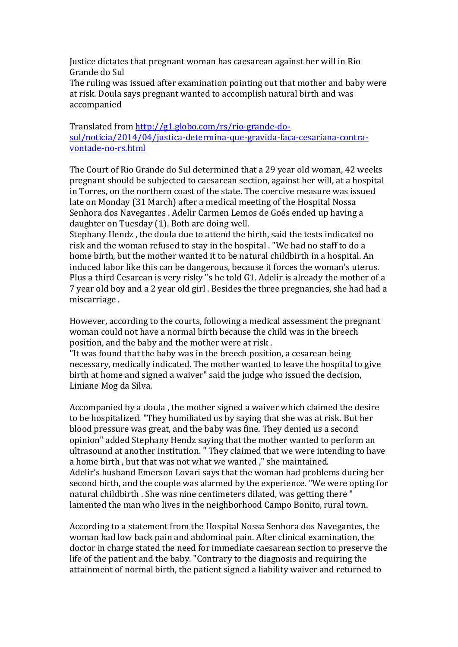Justice dictates that pregnant woman has caesarean against her will in Rio Grande do Sul

The ruling was issued after examination pointing out that mother and baby were at risk. Doula says pregnant wanted to accomplish natural birth and was accompanied

Translated from http://g1.globo.com/rs/rio-grande-dosul/noticia/2014/04/justica-determina-que-gravida-faca-cesariana-contravontade-no-rs.html

The Court of Rio Grande do Sul determined that a 29 year old woman, 42 weeks pregnant should be subjected to caesarean section, against her will, at a hospital in Torres, on the northern coast of the state. The coercive measure was issued late on Monday (31 March) after a medical meeting of the Hospital Nossa Senhora dos Navegantes . Adelir Carmen Lemos de Goés ended up having a daughter on Tuesday (1). Both are doing well.

Stephany Hendz, the doula due to attend the birth, said the tests indicated no risk and the woman refused to stay in the hospital . "We had no staff to do a home birth, but the mother wanted it to be natural childbirth in a hospital. An induced labor like this can be dangerous, because it forces the woman's uterus. Plus a third Cesarean is very risky "s he told G1. Adelir is already the mother of a 7 year old boy and a 2 year old girl. Besides the three pregnancies, she had had a miscarriage.

However, according to the courts, following a medical assessment the pregnant woman could not have a normal birth because the child was in the breech position, and the baby and the mother were at risk.

"It was found that the baby was in the breech position, a cesarean being necessary, medically indicated. The mother wanted to leave the hospital to give birth at home and signed a waiver" said the judge who issued the decision, Liniane Mog da Silva.

Accompanied by a doula, the mother signed a waiver which claimed the desire to be hospitalized. "They humiliated us by saying that she was at risk. But her blood pressure was great, and the baby was fine. They denied us a second opinion" added Stephany Hendz saying that the mother wanted to perform an ultrasound at another institution. " They claimed that we were intending to have a home birth, but that was not what we wanted," she maintained. Adelir's husband Emerson Lovari says that the woman had problems during her second birth, and the couple was alarmed by the experience. "We were opting for natural childbirth . She was nine centimeters dilated, was getting there " lamented the man who lives in the neighborhood Campo Bonito, rural town.

According to a statement from the Hospital Nossa Senhora dos Navegantes, the woman had low back pain and abdominal pain. After clinical examination, the doctor in charge stated the need for immediate caesarean section to preserve the life of the patient and the baby. "Contrary to the diagnosis and requiring the attainment of normal birth, the patient signed a liability waiver and returned to